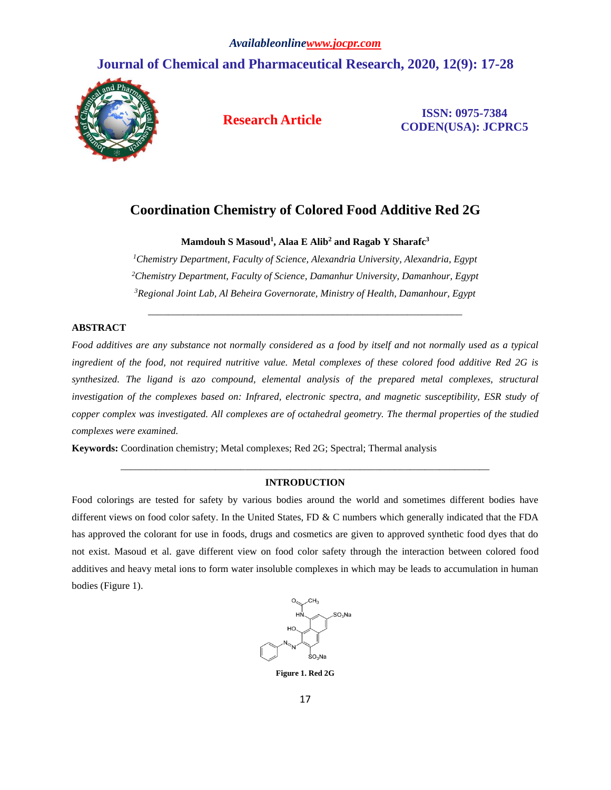# **Journal of Chemical and Pharmaceutical Research, 2020, 12(9): 17-28**



**Research Article ISSN: 0975-7384 CODEN(USA): JCPRC5**

## **Coordination Chemistry of Colored Food Additive Red 2G**

**Mamdouh S Masoud<sup>1</sup> , Alaa E Alib<sup>2</sup> and Ragab Y Sharafc<sup>3</sup>**

*<sup>1</sup>Chemistry Department, Faculty of Science, Alexandria University, Alexandria, Egypt <sup>2</sup>Chemistry Department, Faculty of Science, Damanhur University, Damanhour, Egypt <sup>3</sup>Regional Joint Lab, Al Beheira Governorate, Ministry of Health, Damanhour, Egypt*

\_\_\_\_\_\_\_\_\_\_\_\_\_\_\_\_\_\_\_\_\_\_\_\_\_\_\_\_\_\_\_\_\_\_\_\_\_\_\_\_\_\_\_\_\_\_\_\_\_\_\_\_\_\_\_\_\_\_\_\_\_\_\_

## **ABSTRACT**

*Food additives are any substance not normally considered as a food by itself and not normally used as a typical ingredient of the food, not required nutritive value. Metal complexes of these colored food additive Red 2G is synthesized. The ligand is azo compound, elemental analysis of the prepared metal complexes, structural investigation of the complexes based on: Infrared, electronic spectra, and magnetic susceptibility, ESR study of copper complex was investigated. All complexes are of octahedral geometry. The thermal properties of the studied complexes were examined.*

**Keywords:** Coordination chemistry; Metal complexes; Red 2G; Spectral; Thermal analysis

## *\_\_\_\_\_\_\_\_\_\_\_\_\_\_\_\_\_\_\_\_\_\_\_\_\_\_\_\_\_\_\_\_\_\_\_\_\_\_\_\_\_\_\_\_\_\_\_\_\_\_\_\_\_\_\_\_\_\_\_\_\_\_\_\_\_\_\_\_\_\_\_\_\_\_* **INTRODUCTION**

Food colorings are tested for safety by various bodies around the world and sometimes different bodies have different views on food color safety. In the United States, FD & C numbers which generally indicated that the FDA has approved the colorant for use in foods, drugs and cosmetics are given to approved synthetic food dyes that do not exist. Masoud et al. gave different view on food color safety through the interaction between colored food additives and heavy metal ions to form water insoluble complexes in which may be leads to accumulation in human bodies (Figure 1).



**Figure 1. Red 2G**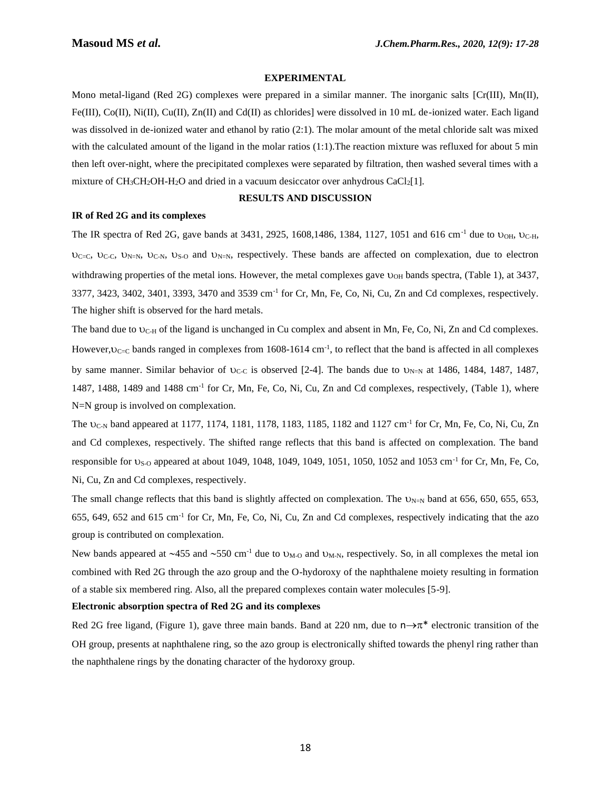## **EXPERIMENTAL**

Mono metal-ligand (Red 2G) complexes were prepared in a similar manner. The inorganic salts [Cr(III), Mn(II),  $Fe(HI), Co(H), Ni(H), Cu(H), Zn(H)$  and  $Cd(H)$  as chlorides] were dissolved in 10 mL de-ionized water. Each ligand was dissolved in de-ionized water and ethanol by ratio (2:1). The molar amount of the metal chloride salt was mixed with the calculated amount of the ligand in the molar ratios (1:1). The reaction mixture was refluxed for about 5 min then left over-night, where the precipitated complexes were separated by filtration, then washed several times with a mixture of  $CH_3CH_2OH-H_2O$  and dried in a vacuum desiccator over anhydrous  $CaCl_2[1]$ .

### **RESULTS AND DISCUSSION**

#### **IR of Red 2G and its complexes**

The IR spectra of Red 2G, gave bands at 3431, 2925, 1608,1486, 1384, 1127, 1051 and 616 cm<sup>-1</sup> due to  $v_{OH}$ ,  $v_{CH}$ ,  $v_{C=C}$ ,  $v_{C-C}$ ,  $v_{N=N}$ ,  $v_{S-O}$  and  $v_{N=N}$ , respectively. These bands are affected on complexation, due to electron withdrawing properties of the metal ions. However, the metal complexes gave  $v_{OH}$  bands spectra, (Table 1), at 3437, 3377, 3423, 3402, 3401, 3393, 3470 and 3539 cm<sup>-1</sup> for Cr, Mn, Fe, Co, Ni, Cu, Zn and Cd complexes, respectively. The higher shift is observed for the hard metals.

The band due to  $U_{C-H}$  of the ligand is unchanged in Cu complex and absent in Mn, Fe, Co, Ni, Zn and Cd complexes. However,  $v_{C-C}$  bands ranged in complexes from 1608-1614 cm<sup>-1</sup>, to reflect that the band is affected in all complexes by same manner. Similar behavior of  $U_{C-C}$  is observed [2-4]. The bands due to  $U_{N=N}$  at 1486, 1484, 1487, 1487, 1487, 1488, 1489 and 1488 cm<sup>-1</sup> for Cr, Mn, Fe, Co, Ni, Cu, Zn and Cd complexes, respectively, (Table 1), where N=N group is involved on complexation.

The U<sub>C-N</sub> band appeared at 1177, 1174, 1181, 1178, 1183, 1185, 1182 and 1127 cm<sup>-1</sup> for Cr, Mn, Fe, Co, Ni, Cu, Zn and Cd complexes, respectively. The shifted range reflects that this band is affected on complexation. The band responsible for  $v_{S-O}$  appeared at about 1049, 1048, 1049, 1049, 1051, 1050, 1052 and 1053 cm<sup>-1</sup> for Cr, Mn, Fe, Co, Ni, Cu, Zn and Cd complexes, respectively.

The small change reflects that this band is slightly affected on complexation. The  $U_{N=N}$  band at 656, 650, 655, 653, 655, 649, 652 and 615 cm<sup>-1</sup> for Cr, Mn, Fe, Co, Ni, Cu, Zn and Cd complexes, respectively indicating that the azo group is contributed on complexation.

New bands appeared at  $\sim$ 455 and  $\sim$ 550 cm<sup>-1</sup> due to  $U_{M-O}$  and  $U_{M-N}$ , respectively. So, in all complexes the metal ion combined with Red 2G through the azo group and the O-hydoroxy of the naphthalene moiety resulting in formation of a stable six membered ring. Also, all the prepared complexes contain water molecules [5-9].

## **Electronic absorption spectra of Red 2G and its complexes**

Red 2G free ligand, (Figure 1), gave three main bands. Band at 220 nm, due to  $n \rightarrow \pi^*$  electronic transition of the OH group, presents at naphthalene ring, so the azo group is electronically shifted towards the phenyl ring rather than the naphthalene rings by the donating character of the hydoroxy group.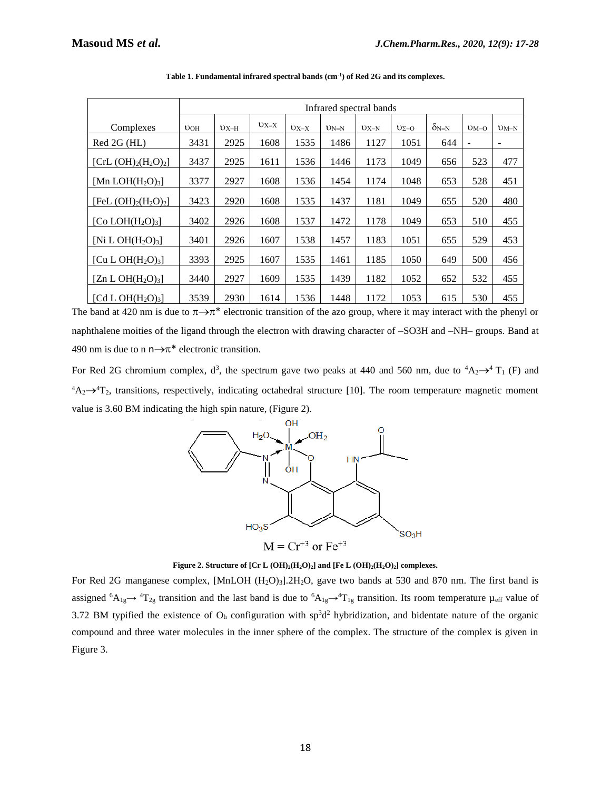|                                           | Infrared spectral bands |        |        |        |        |        |              |                |                          |                   |
|-------------------------------------------|-------------------------|--------|--------|--------|--------|--------|--------------|----------------|--------------------------|-------------------|
| Complexes                                 | UOH                     | $UX-H$ | $UX=X$ | $UX-X$ | $UN=N$ | $UX-N$ | $U\Sigma$ -O | $\delta_{N=N}$ | $UM-O$                   | $UM-N$            |
| Red 2G (HL)                               | 3431                    | 2925   | 1608   | 1535   | 1486   | 1127   | 1051         | 644            | $\overline{\phantom{0}}$ | $\qquad \qquad -$ |
| [CrL $(OH)_2(H_2O)_2$ ]                   | 3437                    | 2925   | 1611   | 1536   | 1446   | 1173   | 1049         | 656            | 523                      | 477               |
| [Mn LOH $(H_2O)_3$ ]                      | 3377                    | 2927   | 1608   | 1536   | 1454   | 1174   | 1048         | 653            | 528                      | 451               |
| [FeL $(OH)_2(H_2O)_2$ ]                   | 3423                    | 2920   | 1608   | 1535   | 1437   | 1181   | 1049         | 655            | 520                      | 480               |
| [Co $LOH(H_2O)_3$ ]                       | 3402                    | 2926   | 1608   | 1537   | 1472   | 1178   | 1049         | 653            | 510                      | 455               |
| [Ni L OH $(H_2O)_3$ ]                     | 3401                    | 2926   | 1607   | 1538   | 1457   | 1183   | 1051         | 655            | 529                      | 453               |
| [Cu L OH(H <sub>2</sub> O) <sub>3</sub> ] | 3393                    | 2925   | 1607   | 1535   | 1461   | 1185   | 1050         | 649            | 500                      | 456               |
| [Zn L OH(H <sub>2</sub> O) <sub>3</sub> ] | 3440                    | 2927   | 1609   | 1535   | 1439   | 1182   | 1052         | 652            | 532                      | 455               |
| [Cd L OH $(H_2O)_3$ ]                     | 3539                    | 2930   | 1614   | 1536   | 1448   | 1172   | 1053         | 615            | 530                      | 455               |

**Table 1. Fundamental infrared spectral bands (cm-1 ) of Red 2G and its complexes.**

The band at 420 nm is due to  $\pi \rightarrow \pi^*$  electronic transition of the azo group, where it may interact with the phenyl or naphthalene moities of the ligand through the electron with drawing character of –SO3H and –NH– groups. Band at 490 nm is due to n  $n \rightarrow \pi^*$  electronic transition.

For Red 2G chromium complex, d<sup>3</sup>, the spectrum gave two peaks at 440 and 560 nm, due to  ${}^4A_2 \rightarrow {}^4T_1$  (F) and  ${}^4A_2\rightarrow {}^4T_2$ , transitions, respectively, indicating octahedral structure [10]. The room temperature magnetic moment value is 3.60 BM indicating the high spin nature, (Figure 2).



#### **Figure 2. Structure of [Cr L (OH)2(H2O)2] and [Fe L (OH)2(H2O)2] complexes.**

For Red 2G manganese complex, [MnLOH (H<sub>2</sub>O)<sub>3</sub>].2H<sub>2</sub>O, gave two bands at 530 and 870 nm. The first band is assigned  ${}^6A_{1g}$  +  ${}^4T_{2g}$  transition and the last band is due to  ${}^6A_{1g}$  +  ${}^4T_{1g}$  transition. Its room temperature  $\mu_{eff}$  value of 3.72 BM typified the existence of  $O<sub>h</sub>$  configuration with sp<sup>3</sup>d<sup>2</sup> hybridization, and bidentate nature of the organic compound and three water molecules in the inner sphere of the complex. The structure of the complex is given in Figure 3.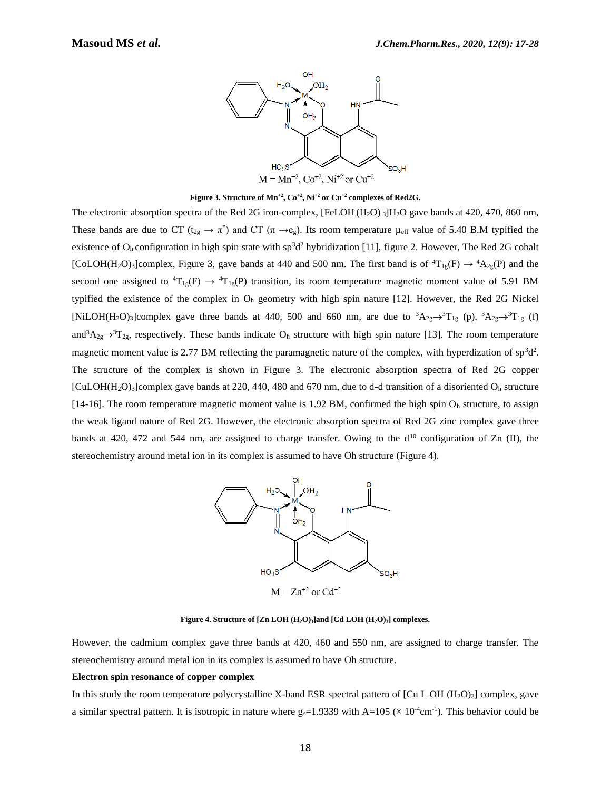

**Figure 3. Structure of Mn+2, Co+2, Ni+2 or Cu+2 complexes of Red2G.**

The electronic absorption spectra of the Red 2G iron-complex, [FeLOH(H<sub>2</sub>O) 3]H<sub>2</sub>O gave bands at 420, 470, 860 nm, These bands are due to CT ( $t_{2g} \to \pi^*$ ) and CT ( $\pi \to e_g$ ). Its room temperature  $\mu_{eff}$  value of 5.40 B.M typified the existence of  $O_h$  configuration in high spin state with sp<sup>3</sup>d<sup>2</sup> hybridization [11], figure 2. However, The Red 2G cobalt [CoLOH(H<sub>2</sub>O)<sub>3</sub>]complex, Figure 3, gave bands at 440 and 500 nm. The first band is of  ${}^4T_{1g}(F) \rightarrow {}^4A_{2g}(P)$  and the second one assigned to  ${}^{4}T_{1g}(F) \rightarrow {}^{4}T_{1g}(P)$  transition, its room temperature magnetic moment value of 5.91 BM typified the existence of the complex in O<sup>h</sup> geometry with high spin nature [12]. However, the Red 2G Nickel [NiLOH(H<sub>2</sub>O)<sub>3</sub>]complex gave three bands at 440, 500 and 660 nm, are due to  ${}^{3}A_{2g} \rightarrow {}^{3}T_{1g}$  (p),  ${}^{3}A_{2g} \rightarrow {}^{3}T_{1g}$  (f) and<sup>3</sup>A<sub>2g</sub> $\rightarrow$ <sup>3</sup>T<sub>2g</sub>, respectively. These bands indicate O<sub>h</sub> structure with high spin nature [13]. The room temperature magnetic moment value is 2.77 BM reflecting the paramagnetic nature of the complex, with hyperdization of  $sp^3d^2$ . The structure of the complex is shown in Figure 3. The electronic absorption spectra of Red 2G copper  $[CuLOH(H<sub>2</sub>O)<sub>3</sub>]$ complex gave bands at 220, 440, 480 and 670 nm, due to d-d transition of a disoriented  $O<sub>h</sub>$  structure [14-16]. The room temperature magnetic moment value is 1.92 BM, confirmed the high spin  $O<sub>h</sub>$  structure, to assign the weak ligand nature of Red 2G. However, the electronic absorption spectra of Red 2G zinc complex gave three bands at 420, 472 and 544 nm, are assigned to charge transfer. Owing to the  $d^{10}$  configuration of Zn (II), the stereochemistry around metal ion in its complex is assumed to have Oh structure (Figure 4).



**Figure 4. Structure of [Zn LOH (H2O)3]and [Cd LOH (H2O)3] complexes.**

However, the cadmium complex gave three bands at 420, 460 and 550 nm, are assigned to charge transfer. The stereochemistry around metal ion in its complex is assumed to have Oh structure.

#### **Electron spin resonance of copper complex**

In this study the room temperature polycrystalline X-band ESR spectral pattern of  $\lbrack Cu L \text{OH } (H_2O)_3 \rbrack$  complex, gave a similar spectral pattern. It is isotropic in nature where  $g_s=1.9339$  with  $A=105 \times 10^{-4}$ cm<sup>-1</sup>). This behavior could be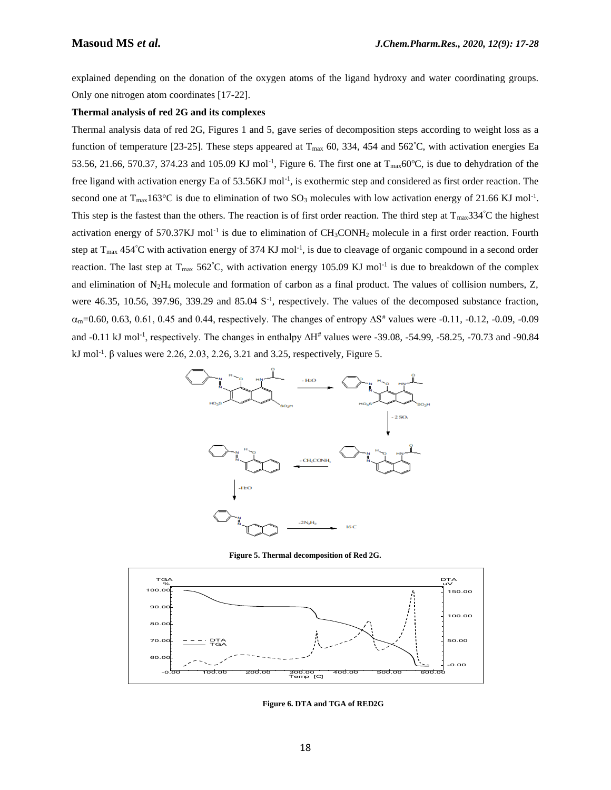explained depending on the donation of the oxygen atoms of the ligand hydroxy and water coordinating groups. Only one nitrogen atom coordinates [17-22].

#### **Thermal analysis of red 2G and its complexes**

Thermal analysis data of red 2G, Figures 1 and 5, gave series of decomposition steps according to weight loss as a function of temperature [23-25]. These steps appeared at  $T_{\text{max}}$  60, 334, 454 and 562°C, with activation energies Ea 53.56, 21.66, 570.37, 374.23 and 105.09 KJ mol<sup>-1</sup>, Figure 6. The first one at T<sub>max</sub>60°C, is due to dehydration of the free ligand with activation energy Ea of 53.56KJ mol<sup>-1</sup>, is exothermic step and considered as first order reaction. The second one at  $T_{\text{max}}163^{\circ}$ C is due to elimination of two SO<sub>3</sub> molecules with low activation energy of 21.66 KJ mol<sup>-1</sup>. This step is the fastest than the others. The reaction is of first order reaction. The third step at  $T_{\text{max}}$ 334°C the highest activation energy of 570.37KJ mol<sup>-1</sup> is due to elimination of CH<sub>3</sub>CONH<sub>2</sub> molecule in a first order reaction. Fourth step at  $T_{\text{max}}$  454°C with activation energy of 374 KJ mol<sup>-1</sup>, is due to cleavage of organic compound in a second order reaction. The last step at  $T_{max}$  562°C, with activation energy 105.09 KJ mol<sup>-1</sup> is due to breakdown of the complex and elimination of  $N_2H_4$  molecule and formation of carbon as a final product. The values of collision numbers, Z, were 46.35, 10.56, 397.96, 339.29 and 85.04 S<sup>-1</sup>, respectively. The values of the decomposed substance fraction,  $\alpha_{\rm m}$ =0.60, 0.63, 0.61, 0.45 and 0.44, respectively. The changes of entropy  $\Delta S^*$  values were -0.11, -0.12, -0.09, -0.09 and -0.11 kJ mol<sup>-1</sup>, respectively. The changes in enthalpy ∆H<sup>#</sup> values were -39.08, -54.99, -58.25, -70.73 and -90.84 kJ mol<sup>-1</sup>. β values were 2.26, 2.03, 2.26, 3.21 and 3.25, respectively, Figure 5.



**Figure 5. Thermal decomposition of Red 2G.**



**Figure 6. DTA and TGA of RED2G**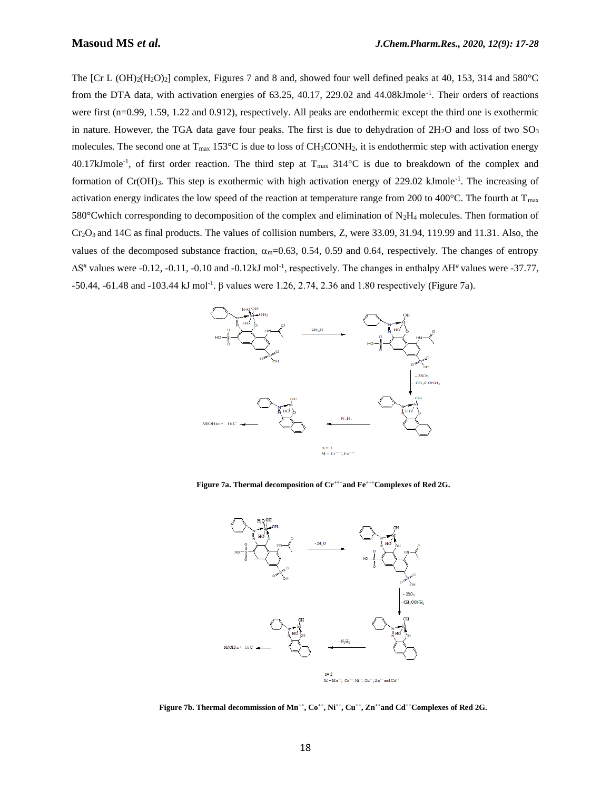The  $[Cr L (OH)<sub>2</sub>(H<sub>2</sub>O)<sub>2</sub>]$  complex, Figures 7 and 8 and, showed four well defined peaks at 40, 153, 314 and 580°C from the DTA data, with activation energies of 63.25, 40.17, 229.02 and 44.08kJmole<sup>-1</sup>. Their orders of reactions were first (n=0.99, 1.59, 1.22 and 0.912), respectively. All peaks are endothermic except the third one is exothermic in nature. However, the TGA data gave four peaks. The first is due to dehydration of  $2H_2O$  and loss of two  $SO_3$ molecules. The second one at  $T_{max}$  153°C is due to loss of CH<sub>3</sub>CONH<sub>2</sub>, it is endothermic step with activation energy 40.17kJmole<sup>-1</sup>, of first order reaction. The third step at T<sub>max</sub> 314°C is due to breakdown of the complex and formation of Cr(OH)<sub>3</sub>. This step is exothermic with high activation energy of 229.02 kJmole<sup>-1</sup>. The increasing of activation energy indicates the low speed of the reaction at temperature range from 200 to 400 $^{\circ}$ C. The fourth at T<sub>max</sub> 580°Cwhich corresponding to decomposition of the complex and elimination of  $N_2H_4$  molecules. Then formation of  $Cr_2O_3$  and 14C as final products. The values of collision numbers, Z, were 33.09, 31.94, 119.99 and 11.31. Also, the values of the decomposed substance fraction,  $\alpha_m$ =0.63, 0.54, 0.59 and 0.64, respectively. The changes of entropy  $\Delta S^*$  values were -0.12, -0.11, -0.10 and -0.12kJ mol<sup>-1</sup>, respectively. The changes in enthalpy  $\Delta H^*$  values were -37.77, -50.44, -61.48 and -103.44 kJ mol<sup>-1</sup>. β values were 1.26, 2.74, 2.36 and 1.80 respectively (Figure 7a).



**Figure 7a. Thermal decomposition of Cr+++and Fe+++Complexes of Red 2G.**



**Figure 7b. Thermal decommission of Mn++, Co++, Ni++, Cu++, Zn++and Cd++Complexes of Red 2G.**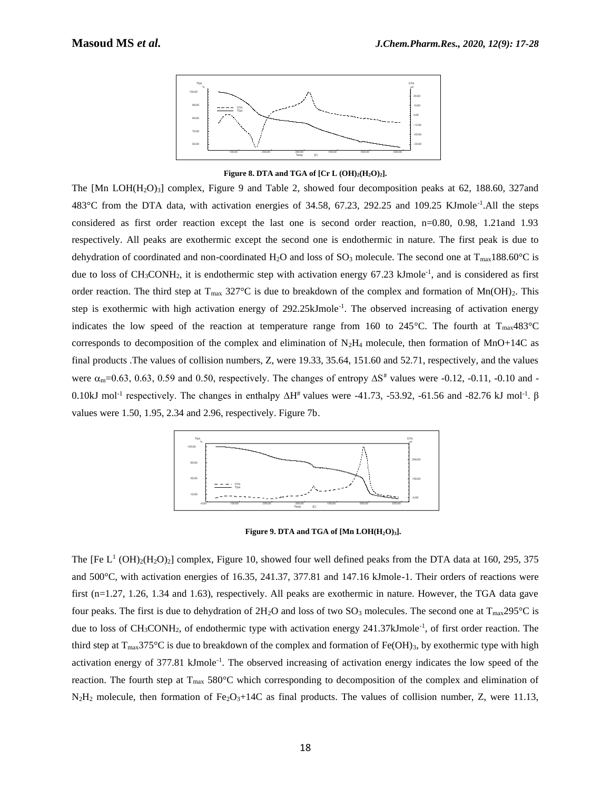

**Figure 8. DTA and TGA of**  $[Cr L (OH)<sub>2</sub>(H<sub>2</sub>O)<sub>2</sub>]$ **.** 

The  $[Mn \text{ LOH}(H_2O)_3]$  complex, Figure 9 and Table 2, showed four decomposition peaks at 62, 188.60, 327and 483°C from the DTA data, with activation energies of 34.58, 67.23, 292.25 and 109.25 KJmole<sup>-1</sup>.All the steps considered as first order reaction except the last one is second order reaction, n=0.80, 0.98, 1.21and 1.93 respectively. All peaks are exothermic except the second one is endothermic in nature. The first peak is due to dehydration of coordinated and non-coordinated H<sub>2</sub>O and loss of SO<sub>3</sub> molecule. The second one at T<sub>max</sub>188.60°C is due to loss of CH<sub>3</sub>CONH<sub>2</sub>, it is endothermic step with activation energy 67.23 kJmole<sup>-1</sup>, and is considered as first order reaction. The third step at  $T_{\text{max}}$  327°C is due to breakdown of the complex and formation of Mn(OH)<sub>2</sub>. This step is exothermic with high activation energy of 292.25kJmole<sup>-1</sup>. The observed increasing of activation energy indicates the low speed of the reaction at temperature range from 160 to 245 °C. The fourth at  $T_{\text{max}}$ 483 °C corresponds to decomposition of the complex and elimination of  $N_2H_4$  molecule, then formation of MnO+14C as final products .The values of collision numbers, Z, were 19.33, 35.64, 151.60 and 52.71, respectively, and the values were  $\alpha_m$ =0.63, 0.63, 0.59 and 0.50, respectively. The changes of entropy  $\Delta S^*$  values were -0.12, -0.11, -0.10 and -0.10kJ mol<sup>-1</sup> respectively. The changes in enthalpy  $\Delta H^*$  values were -41.73, -53.92, -61.56 and -82.76 kJ mol<sup>-1</sup>.  $\beta$ values were 1.50, 1.95, 2.34 and 2.96, respectively. Figure 7b.



**Figure 9. DTA and TGA of [Mn LOH(H2O)3].**

The [Fe  $L^1$  (OH)<sub>2</sub>(H<sub>2</sub>O)<sub>2</sub>] complex, Figure 10, showed four well defined peaks from the DTA data at 160, 295, 375 and 500°C, with activation energies of 16.35, 241.37, 377.81 and 147.16 kJmole-1. Their orders of reactions were first (n=1.27, 1.26, 1.34 and 1.63), respectively. All peaks are exothermic in nature. However, the TGA data gave four peaks. The first is due to dehydration of  $2H_2O$  and loss of two  $SO_3$  molecules. The second one at  $T_{\text{max}}295^{\circ}$ C is due to loss of CH<sub>3</sub>CONH<sub>2</sub>, of endothermic type with activation energy 241.37kJmole<sup>-1</sup>, of first order reaction. The third step at  $T_{\text{max}}$ 375°C is due to breakdown of the complex and formation of Fe(OH)<sub>3</sub>, by exothermic type with high activation energy of 377.81 kJmole<sup>-1</sup>. The observed increasing of activation energy indicates the low speed of the reaction. The fourth step at T<sub>max</sub> 580°C which corresponding to decomposition of the complex and elimination of  $N_2H_2$  molecule, then formation of Fe<sub>2</sub>O<sub>3</sub>+14C as final products. The values of collision number, Z, were 11.13,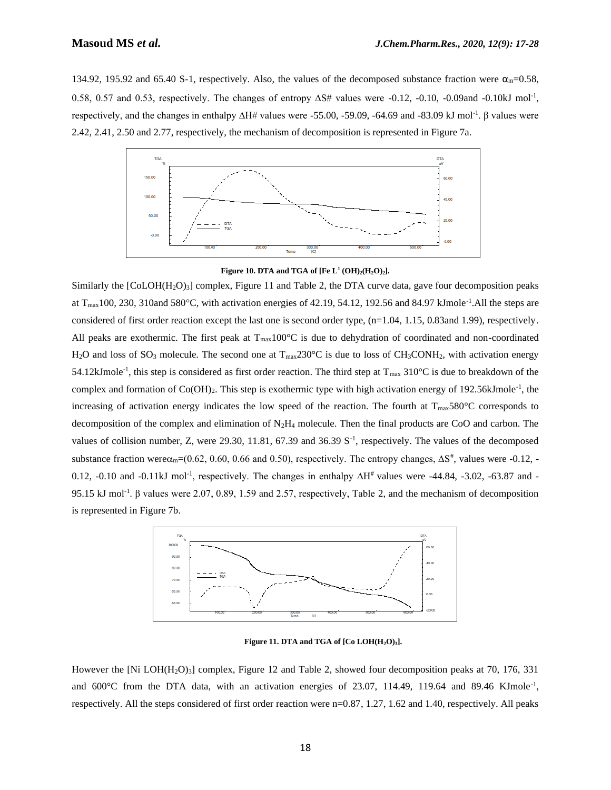134.92, 195.92 and 65.40 S-1, respectively. Also, the values of the decomposed substance fraction were  $\alpha_{\rm m}$ =0.58, 0.58, 0.57 and 0.53, respectively. The changes of entropy  $\Delta S$ # values were -0.12, -0.10, -0.09and -0.10kJ mol<sup>-1</sup>, respectively, and the changes in enthalpy ∆H# values were -55.00, -59.09, -64.69 and -83.09 kJ mol-1 . β values were 2.42, 2.41, 2.50 and 2.77, respectively, the mechanism of decomposition is represented in Figure 7a.



**Figure 10. DTA and TGA of [Fe L<sup>1</sup> (OH)2(H2O)2].**

Similarly the  $[CoLOH(H<sub>2</sub>O)<sub>3</sub>]$  complex, Figure 11 and Table 2, the DTA curve data, gave four decomposition peaks at  $T_{\text{max}}$ 100, 230, 310and 580°C, with activation energies of 42.19, 54.12, 192.56 and 84.97 kJmole<sup>-1</sup>. All the steps are considered of first order reaction except the last one is second order type,  $(n=1.04, 1.15, 0.83$  and 1.99), respectively. All peaks are exothermic. The first peak at  $T_{\text{max}}100^{\circ}\text{C}$  is due to dehydration of coordinated and non-coordinated H<sub>2</sub>O and loss of SO<sub>3</sub> molecule. The second one at  $T_{\text{max}}$ 230°C is due to loss of CH<sub>3</sub>CONH<sub>2</sub>, with activation energy 54.12kJmole<sup>-1</sup>, this step is considered as first order reaction. The third step at  $T_{\text{max}}$  310°C is due to breakdown of the complex and formation of Co(OH)<sub>2</sub>. This step is exothermic type with high activation energy of 192.56kJmole<sup>-1</sup>, the increasing of activation energy indicates the low speed of the reaction. The fourth at T<sub>max</sub>580°C corresponds to decomposition of the complex and elimination of  $N_2H_4$  molecule. Then the final products are CoO and carbon. The values of collision number, Z, were 29.30, 11.81, 67.39 and 36.39 S<sup>-1</sup>, respectively. The values of the decomposed substance fraction were $\alpha_{m}$ =(0.62, 0.60, 0.66 and 0.50), respectively. The entropy changes,  $\Delta S^*$ , values were -0.12, -0.12, -0.10 and -0.11kJ mol<sup>-1</sup>, respectively. The changes in enthalpy ∆H<sup>#</sup> values were -44.84, -3.02, -63.87 and -95.15 kJ mol<sup>-1</sup>. β values were 2.07, 0.89, 1.59 and 2.57, respectively, Table 2, and the mechanism of decomposition is represented in Figure 7b.



**Figure 11. DTA and TGA of [Co LOH(H2O)3].**

However the [Ni LOH(H<sub>2</sub>O)<sub>3</sub>] complex, Figure 12 and Table 2, showed four decomposition peaks at 70, 176, 331 and  $600^{\circ}$ C from the DTA data, with an activation energies of 23.07, 114.49, 119.64 and 89.46 KJmole<sup>-1</sup>, respectively. All the steps considered of first order reaction were n=0.87, 1.27, 1.62 and 1.40, respectively. All peaks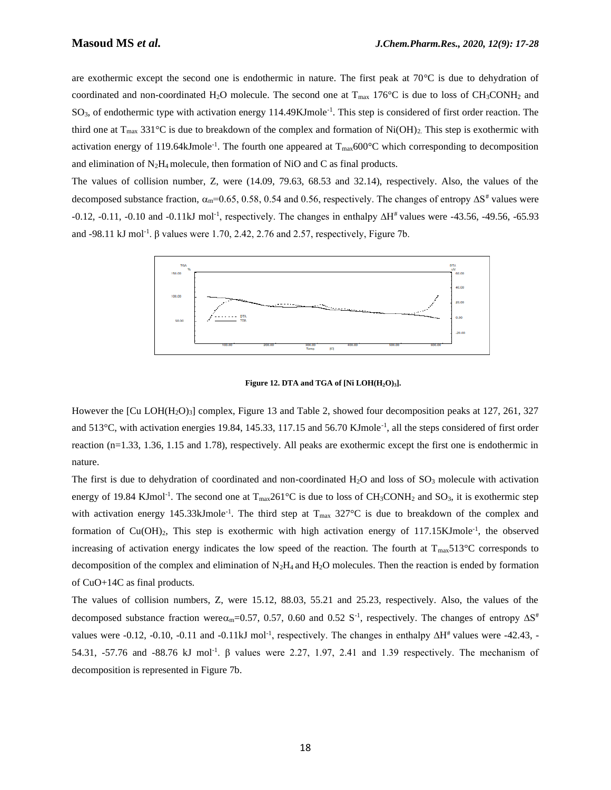are exothermic except the second one is endothermic in nature. The first peak at 70°C is due to dehydration of coordinated and non-coordinated H<sub>2</sub>O molecule. The second one at  $T_{\text{max}}$  176°C is due to loss of CH<sub>3</sub>CONH<sub>2</sub> and SO<sub>3</sub>, of endothermic type with activation energy 114.49KJmole<sup>-1</sup>. This step is considered of first order reaction. The third one at  $T_{\text{max}}$  331°C is due to breakdown of the complex and formation of Ni(OH)<sub>2</sub>. This step is exothermic with activation energy of 119.64kJmole<sup>-1</sup>. The fourth one appeared at  $T_{\text{max}}$ 600°C which corresponding to decomposition and elimination of  $N_2H_4$  molecule, then formation of NiO and C as final products.

The values of collision number, Z, were (14.09, 79.63, 68.53 and 32.14), respectively. Also, the values of the decomposed substance fraction,  $\alpha_m$ =0.65, 0.58, 0.54 and 0.56, respectively. The changes of entropy  $\Delta S^*$  values were -0.12, -0.11, -0.10 and -0.11kJ mol<sup>-1</sup>, respectively. The changes in enthalpy ∆H<sup>#</sup> values were -43.56, -49.56, -65.93 and -98.11 kJ mol<sup>-1</sup>.  $\beta$  values were 1.70, 2.42, 2.76 and 2.57, respectively, Figure 7b.



**Figure 12. DTA and TGA of [Ni LOH(H2O)3].**

However the  $\text{[Cu LOH(H<sub>2</sub>O)<sub>3</sub>}$  complex, Figure 13 and Table 2, showed four decomposition peaks at 127, 261, 327 and 513°C, with activation energies 19.84, 145.33, 117.15 and 56.70 KJmole<sup>-1</sup>, all the steps considered of first order reaction (n=1.33, 1.36, 1.15 and 1.78), respectively. All peaks are exothermic except the first one is endothermic in nature.

The first is due to dehydration of coordinated and non-coordinated H<sub>2</sub>O and loss of  $SO_3$  molecule with activation energy of 19.84 KJmol<sup>-1</sup>. The second one at  $T_{max}261^{\circ}C$  is due to loss of  $CH_3CONH_2$  and  $SO_3$ , it is exothermic step with activation energy 145.33kJmole<sup>-1</sup>. The third step at  $T_{\text{max}}$  327°C is due to breakdown of the complex and formation of Cu(OH)<sub>2</sub>, This step is exothermic with high activation energy of 117.15KJmole<sup>-1</sup>, the observed increasing of activation energy indicates the low speed of the reaction. The fourth at T<sub>max</sub>513°C corresponds to decomposition of the complex and elimination of  $N_2H_4$  and  $H_2O$  molecules. Then the reaction is ended by formation of CuO+14C as final products.

The values of collision numbers, Z, were 15.12, 88.03, 55.21 and 25.23, respectively. Also, the values of the decomposed substance fraction were $\alpha_m$ =0.57, 0.57, 0.60 and 0.52 S<sup>-1</sup>, respectively. The changes of entropy  $\Delta S^*$ values were -0.12, -0.10, -0.11 and -0.11kJ mol<sup>-1</sup>, respectively. The changes in enthalpy  $\Delta H^*$  values were -42.43, -54.31, -57.76 and -88.76 kJ mol<sup>-1</sup>.  $\beta$  values were 2.27, 1.97, 2.41 and 1.39 respectively. The mechanism of decomposition is represented in Figure 7b.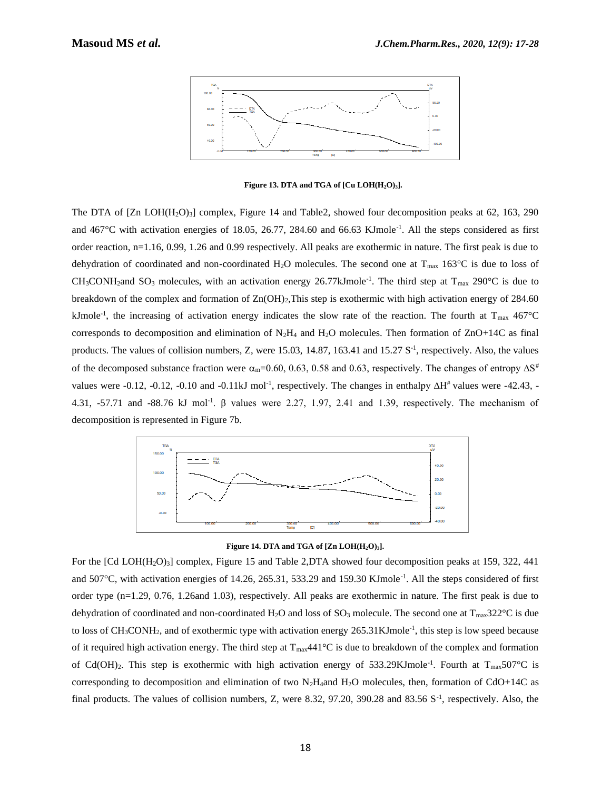

**Figure 13. DTA and TGA of**  $\left[$  **Cu LOH** $\left(H_2O\right)_3\right]$ **.** 

The DTA of  $[Zn \text{ LOH}(H_2O)_3]$  complex, Figure 14 and Table2, showed four decomposition peaks at 62, 163, 290 and  $467^{\circ}$ C with activation energies of 18.05, 26.77, 284.60 and 66.63 KJmole<sup>-1</sup>. All the steps considered as first order reaction, n=1.16, 0.99, 1.26 and 0.99 respectively. All peaks are exothermic in nature. The first peak is due to dehydration of coordinated and non-coordinated H<sub>2</sub>O molecules. The second one at T<sub>max</sub> 163<sup>o</sup>C is due to loss of  $CH_3CONH_2$ and  $SO_3$  molecules, with an activation energy 26.77kJmole<sup>-1</sup>. The third step at  $T_{\text{max}}$  290°C is due to breakdown of the complex and formation of  $Zn(OH)_2$ , This step is exothermic with high activation energy of 284.60 kJmole<sup>-1</sup>, the increasing of activation energy indicates the slow rate of the reaction. The fourth at  $T_{\text{max}}$  467°C corresponds to decomposition and elimination of  $N_2H_4$  and  $H_2O$  molecules. Then formation of  $ZnO+14C$  as final products. The values of collision numbers, Z, were 15.03, 14.87, 163.41 and 15.27  $S<sup>-1</sup>$ , respectively. Also, the values of the decomposed substance fraction were  $\alpha_{m}=0.60, 0.63, 0.58$  and 0.63, respectively. The changes of entropy  $\Delta S^*$ values were -0.12, -0.12, -0.10 and -0.11kJ mol<sup>-1</sup>, respectively. The changes in enthalpy  $\Delta H^*$  values were -42.43, -4.31, -57.71 and -88.76 kJ mol<sup>-1</sup>. β values were 2.27, 1.97, 2.41 and 1.39, respectively. The mechanism of decomposition is represented in Figure 7b.



**Figure 14. DTA and TGA of**  $[Zn \text{ LOH}(H_2O)_3]$ **.** 

For the  $[Cd$  LOH $(H_2O)_3]$  complex, Figure 15 and Table 2,DTA showed four decomposition peaks at 159, 322, 441 and 507°C, with activation energies of 14.26, 265.31, 533.29 and 159.30 KJmole<sup>-1</sup>. All the steps considered of first order type (n=1.29, 0.76, 1.26and 1.03), respectively. All peaks are exothermic in nature. The first peak is due to dehydration of coordinated and non-coordinated H<sub>2</sub>O and loss of SO<sub>3</sub> molecule. The second one at T<sub>max</sub>322<sup>o</sup>C is due to loss of  $CH_3CONH_2$ , and of exothermic type with activation energy  $265.31$ KJmole<sup>-1</sup>, this step is low speed because of it required high activation energy. The third step at  $T_{\text{max}}441^{\circ}\text{C}$  is due to breakdown of the complex and formation of Cd(OH)<sub>2</sub>. This step is exothermic with high activation energy of 533.29KJmole<sup>-1</sup>. Fourth at T<sub>max</sub>507°C is corresponding to decomposition and elimination of two  $N_2H_4$ and  $H_2O$  molecules, then, formation of CdO+14C as final products. The values of collision numbers, Z, were 8.32, 97.20, 390.28 and 83.56 S<sup>-1</sup>, respectively. Also, the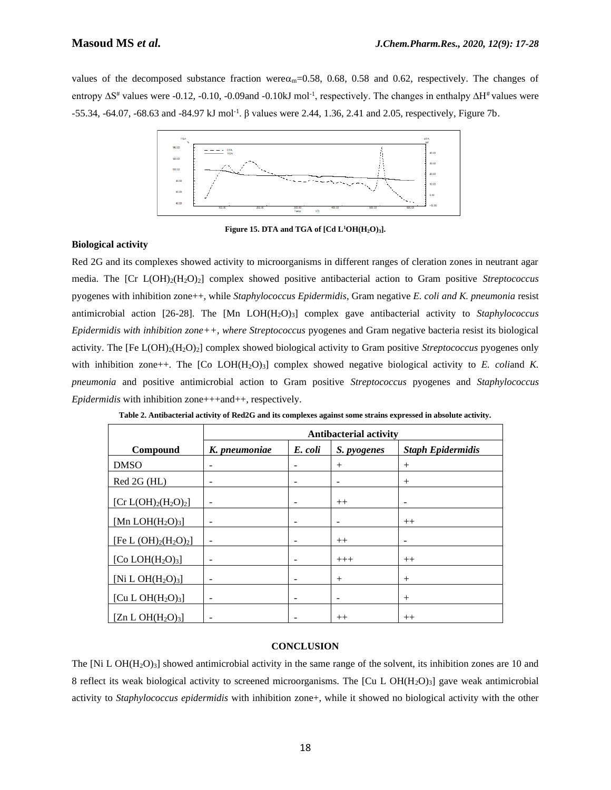values of the decomposed substance fraction were  $\alpha_m$ =0.58, 0.68, 0.58 and 0.62, respectively. The changes of entropy ∆S<sup>#</sup> values were -0.12, -0.10, -0.09and -0.10kJ mol<sup>-1</sup>, respectively. The changes in enthalpy ∆H<sup>#</sup> values were -55.34, -64.07, -68.63 and -84.97 kJ mol-1 . β values were 2.44, 1.36, 2.41 and 2.05, respectively, Figure 7b.



**Figure 15. DTA and TGA of [Cd L<sup>1</sup>OH(H2O)3].**

## **Biological activity**

Red 2G and its complexes showed activity to microorganisms in different ranges of cleration zones in neutrant agar media. The [Cr L(OH)2(H2O)2] complex showed positive antibacterial action to Gram positive *Streptococcus* pyogenes with inhibition zone++, while *Staphylococcus Epidermidis*, Gram negative *E. coli and K. pneumonia* resist antimicrobial action [26-28]. The [Mn LOH(H<sub>2</sub>O)<sub>3</sub>] complex gave antibacterial activity to *Staphylococcus Epidermidis with inhibition zone++, where Streptococcus* pyogenes and Gram negative bacteria resist its biological activity. The [Fe L(OH)2(H2O)2] complex showed biological activity to Gram positive *Streptococcus* pyogenes only with inhibition zone++. The  $[Co LOH(H<sub>2</sub>O)<sub>3</sub>]$  complex showed negative biological activity to *E. coliand K. pneumonia* and positive antimicrobial action to Gram positive *Streptococcus* pyogenes and *Staphylococcus Epidermidis* with inhibition zone+++and++, respectively.

|                          | <b>Antibacterial activity</b> |                          |                          |                          |  |  |  |  |
|--------------------------|-------------------------------|--------------------------|--------------------------|--------------------------|--|--|--|--|
| Compound                 | K. pneumoniae                 | E. coli                  | S. pyogenes              | <b>Staph Epidermidis</b> |  |  |  |  |
| <b>DMSO</b>              |                               |                          | $^{+}$                   | $^{+}$                   |  |  |  |  |
| Red 2G (HL)              | -                             | $\overline{\phantom{a}}$ | -                        | $^{+}$                   |  |  |  |  |
| [ $Cr L(OH)2(H2O)2$ ]    |                               |                          | $++$                     | $\overline{\phantom{a}}$ |  |  |  |  |
| [Mn LOH $(H_2O)_3$ ]     |                               | -                        | -                        | $++$                     |  |  |  |  |
| [Fe L $(OH)_2(H_2O)_2$ ] | $\qquad \qquad -$             | $\overline{\phantom{a}}$ | $++$                     | $\overline{\phantom{a}}$ |  |  |  |  |
| [Co $LOH(H_2O)_3$ ]      |                               |                          | $+++$                    | $++$                     |  |  |  |  |
| [Ni L OH $(H_2O)_3$ ]    | $\overline{\phantom{0}}$      | -                        | $^{+}$                   | $^{+}$                   |  |  |  |  |
| [Cu L OH $(H_2O)_3$ ]    |                               | -                        | $\overline{\phantom{a}}$ | $^{+}$                   |  |  |  |  |
| [Zn L OH $(H_2O)_3$ ]    |                               |                          | $++$                     | $++$                     |  |  |  |  |

**Table 2. Antibacterial activity of Red2G and its complexes against some strains expressed in absolute activity.**

### **CONCLUSION**

The  $[Ni L OH(H<sub>2</sub>O)<sub>3</sub>]$  showed antimicrobial activity in the same range of the solvent, its inhibition zones are 10 and 8 reflect its weak biological activity to screened microorganisms. The  $\lbrack Cu L \text{ OH}(H_2O)_3 \rbrack$  gave weak antimicrobial activity to *Staphylococcus epidermidis* with inhibition zone+, while it showed no biological activity with the other